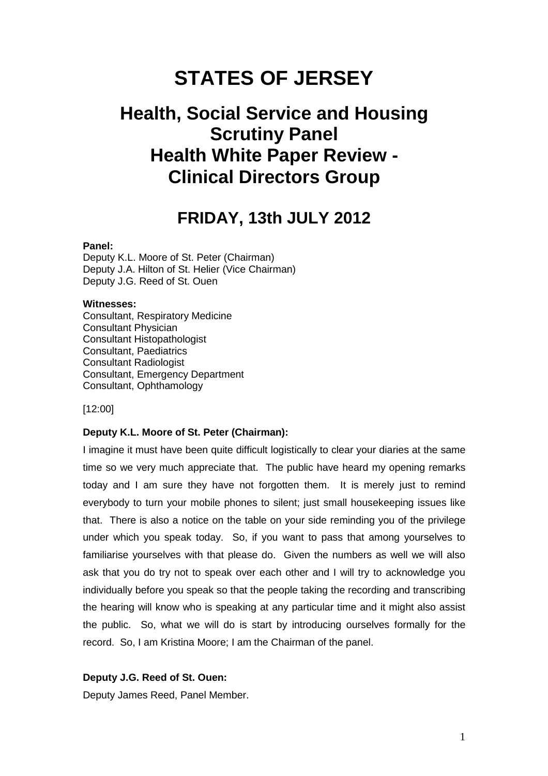# **STATES OF JERSEY**

## **Health, Social Service and Housing Scrutiny Panel Health White Paper Review - Clinical Directors Group**

## **FRIDAY, 13th JULY 2012**

#### **Panel:**

Deputy K.L. Moore of St. Peter (Chairman) Deputy J.A. Hilton of St. Helier (Vice Chairman) Deputy J.G. Reed of St. Ouen

#### **Witnesses:**

Consultant, Respiratory Medicine Consultant Physician Consultant Histopathologist Consultant, Paediatrics Consultant Radiologist Consultant, Emergency Department Consultant, Ophthamology

[12:00]

#### **Deputy K.L. Moore of St. Peter (Chairman):**

I imagine it must have been quite difficult logistically to clear your diaries at the same time so we very much appreciate that. The public have heard my opening remarks today and I am sure they have not forgotten them. It is merely just to remind everybody to turn your mobile phones to silent; just small housekeeping issues like that. There is also a notice on the table on your side reminding you of the privilege under which you speak today. So, if you want to pass that among yourselves to familiarise yourselves with that please do. Given the numbers as well we will also ask that you do try not to speak over each other and I will try to acknowledge you individually before you speak so that the people taking the recording and transcribing the hearing will know who is speaking at any particular time and it might also assist the public. So, what we will do is start by introducing ourselves formally for the record. So, I am Kristina Moore; I am the Chairman of the panel.

#### **Deputy J.G. Reed of St. Ouen:**

Deputy James Reed, Panel Member.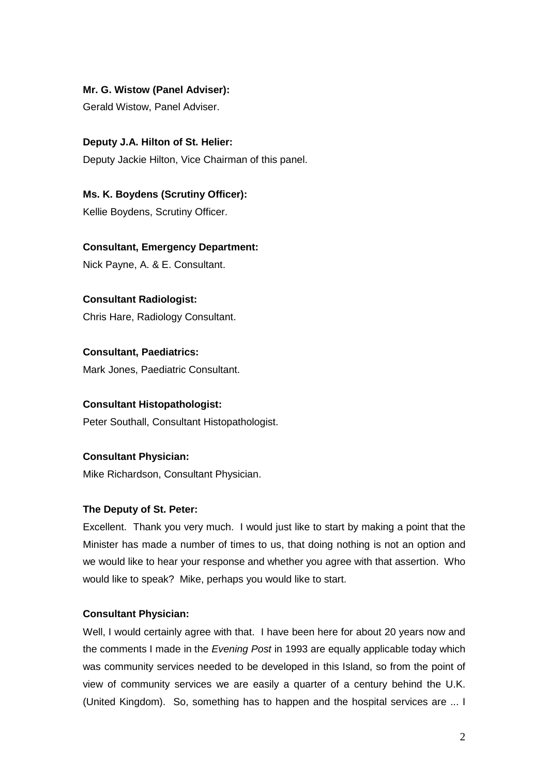## **Mr. G. Wistow (Panel Adviser):**

Gerald Wistow, Panel Adviser.

**Deputy J.A. Hilton of St. Helier:**  Deputy Jackie Hilton, Vice Chairman of this panel.

**Ms. K. Boydens (Scrutiny Officer):**  Kellie Boydens, Scrutiny Officer.

**Consultant, Emergency Department:** Nick Payne, A. & E. Consultant.

## **Consultant Radiologist:**

Chris Hare, Radiology Consultant.

**Consultant, Paediatrics:**  Mark Jones, Paediatric Consultant.

## **Consultant Histopathologist:**

Peter Southall, Consultant Histopathologist.

## **Consultant Physician:**

Mike Richardson, Consultant Physician.

## **The Deputy of St. Peter:**

Excellent. Thank you very much. I would just like to start by making a point that the Minister has made a number of times to us, that doing nothing is not an option and we would like to hear your response and whether you agree with that assertion. Who would like to speak? Mike, perhaps you would like to start.

## **Consultant Physician:**

Well, I would certainly agree with that. I have been here for about 20 years now and the comments I made in the Evening Post in 1993 are equally applicable today which was community services needed to be developed in this Island, so from the point of view of community services we are easily a quarter of a century behind the U.K. (United Kingdom). So, something has to happen and the hospital services are ... I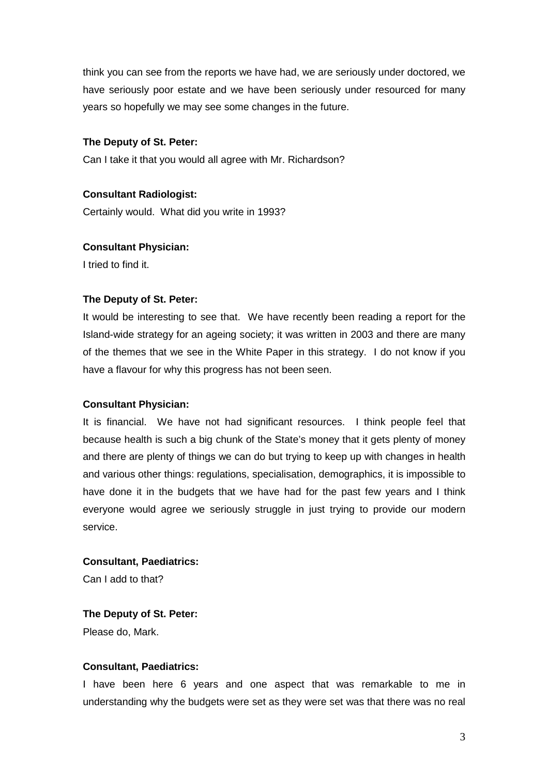think you can see from the reports we have had, we are seriously under doctored, we have seriously poor estate and we have been seriously under resourced for many years so hopefully we may see some changes in the future.

#### **The Deputy of St. Peter:**

Can I take it that you would all agree with Mr. Richardson?

#### **Consultant Radiologist:**

Certainly would. What did you write in 1993?

#### **Consultant Physician:**

I tried to find it.

#### **The Deputy of St. Peter:**

It would be interesting to see that. We have recently been reading a report for the Island-wide strategy for an ageing society; it was written in 2003 and there are many of the themes that we see in the White Paper in this strategy. I do not know if you have a flavour for why this progress has not been seen.

#### **Consultant Physician:**

It is financial. We have not had significant resources. I think people feel that because health is such a big chunk of the State's money that it gets plenty of money and there are plenty of things we can do but trying to keep up with changes in health and various other things: regulations, specialisation, demographics, it is impossible to have done it in the budgets that we have had for the past few years and I think everyone would agree we seriously struggle in just trying to provide our modern service.

#### **Consultant, Paediatrics:**

Can I add to that?

#### **The Deputy of St. Peter:**

Please do, Mark.

#### **Consultant, Paediatrics:**

I have been here 6 years and one aspect that was remarkable to me in understanding why the budgets were set as they were set was that there was no real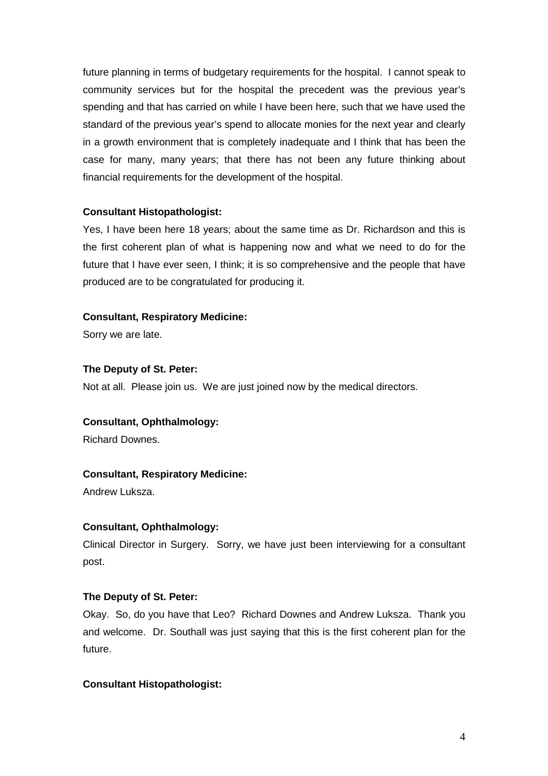future planning in terms of budgetary requirements for the hospital. I cannot speak to community services but for the hospital the precedent was the previous year's spending and that has carried on while I have been here, such that we have used the standard of the previous year's spend to allocate monies for the next year and clearly in a growth environment that is completely inadequate and I think that has been the case for many, many years; that there has not been any future thinking about financial requirements for the development of the hospital.

## **Consultant Histopathologist:**

Yes, I have been here 18 years; about the same time as Dr. Richardson and this is the first coherent plan of what is happening now and what we need to do for the future that I have ever seen, I think; it is so comprehensive and the people that have produced are to be congratulated for producing it.

#### **Consultant, Respiratory Medicine:**

Sorry we are late.

#### **The Deputy of St. Peter:**

Not at all. Please join us. We are just joined now by the medical directors.

#### **Consultant, Ophthalmology:**

Richard Downes.

## **Consultant, Respiratory Medicine:**

Andrew Luksza.

## **Consultant, Ophthalmology:**

Clinical Director in Surgery. Sorry, we have just been interviewing for a consultant post.

#### **The Deputy of St. Peter:**

Okay. So, do you have that Leo? Richard Downes and Andrew Luksza. Thank you and welcome. Dr. Southall was just saying that this is the first coherent plan for the future.

#### **Consultant Histopathologist:**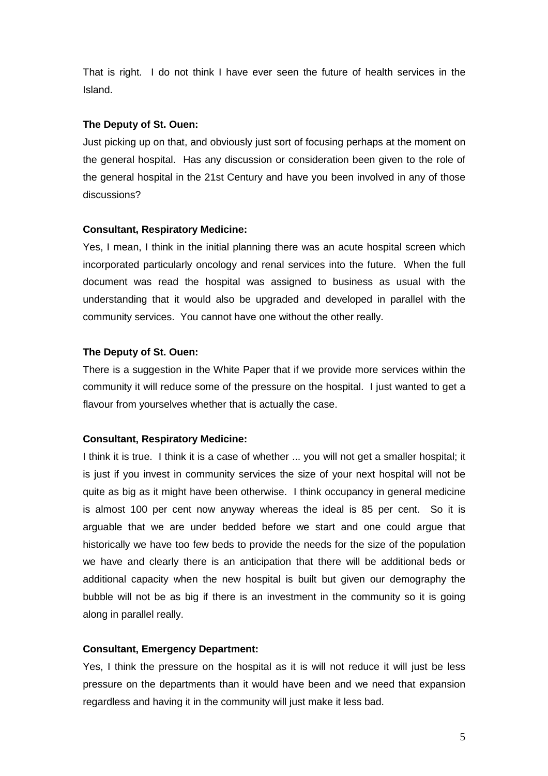That is right. I do not think I have ever seen the future of health services in the Island.

#### **The Deputy of St. Ouen:**

Just picking up on that, and obviously just sort of focusing perhaps at the moment on the general hospital. Has any discussion or consideration been given to the role of the general hospital in the 21st Century and have you been involved in any of those discussions?

#### **Consultant, Respiratory Medicine:**

Yes, I mean, I think in the initial planning there was an acute hospital screen which incorporated particularly oncology and renal services into the future. When the full document was read the hospital was assigned to business as usual with the understanding that it would also be upgraded and developed in parallel with the community services. You cannot have one without the other really.

#### **The Deputy of St. Ouen:**

There is a suggestion in the White Paper that if we provide more services within the community it will reduce some of the pressure on the hospital. I just wanted to get a flavour from yourselves whether that is actually the case.

#### **Consultant, Respiratory Medicine:**

I think it is true. I think it is a case of whether ... you will not get a smaller hospital; it is just if you invest in community services the size of your next hospital will not be quite as big as it might have been otherwise. I think occupancy in general medicine is almost 100 per cent now anyway whereas the ideal is 85 per cent. So it is arguable that we are under bedded before we start and one could argue that historically we have too few beds to provide the needs for the size of the population we have and clearly there is an anticipation that there will be additional beds or additional capacity when the new hospital is built but given our demography the bubble will not be as big if there is an investment in the community so it is going along in parallel really.

#### **Consultant, Emergency Department:**

Yes, I think the pressure on the hospital as it is will not reduce it will just be less pressure on the departments than it would have been and we need that expansion regardless and having it in the community will just make it less bad.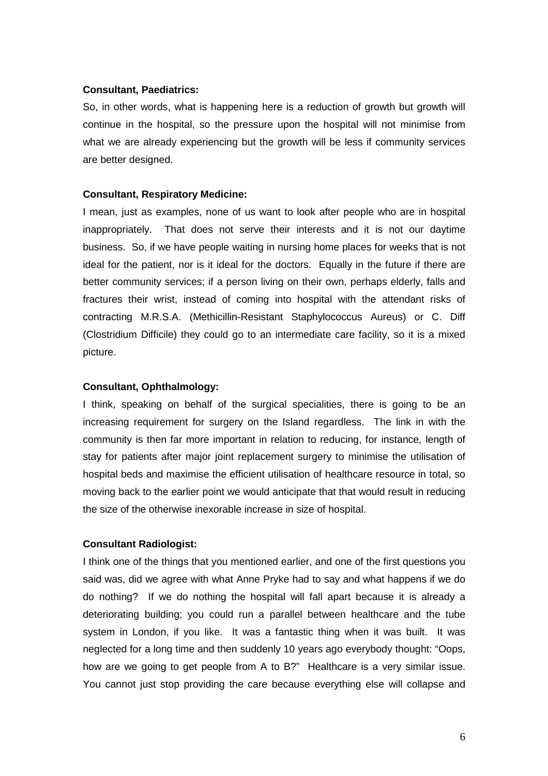#### **Consultant, Paediatrics:**

So, in other words, what is happening here is a reduction of growth but growth will continue in the hospital, so the pressure upon the hospital will not minimise from what we are already experiencing but the growth will be less if community services are better designed.

#### **Consultant, Respiratory Medicine:**

I mean, just as examples, none of us want to look after people who are in hospital inappropriately. That does not serve their interests and it is not our daytime business. So, if we have people waiting in nursing home places for weeks that is not ideal for the patient, nor is it ideal for the doctors. Equally in the future if there are better community services; if a person living on their own, perhaps elderly, falls and fractures their wrist, instead of coming into hospital with the attendant risks of contracting M.R.S.A. (Methicillin-Resistant Staphylococcus Aureus) or C. Diff (Clostridium Difficile) they could go to an intermediate care facility, so it is a mixed picture.

#### **Consultant, Ophthalmology:**

I think, speaking on behalf of the surgical specialities, there is going to be an increasing requirement for surgery on the Island regardless. The link in with the community is then far more important in relation to reducing, for instance, length of stay for patients after major joint replacement surgery to minimise the utilisation of hospital beds and maximise the efficient utilisation of healthcare resource in total, so moving back to the earlier point we would anticipate that that would result in reducing the size of the otherwise inexorable increase in size of hospital.

## **Consultant Radiologist:**

I think one of the things that you mentioned earlier, and one of the first questions you said was, did we agree with what Anne Pryke had to say and what happens if we do do nothing? If we do nothing the hospital will fall apart because it is already a deteriorating building; you could run a parallel between healthcare and the tube system in London, if you like. It was a fantastic thing when it was built. It was neglected for a long time and then suddenly 10 years ago everybody thought: "Oops, how are we going to get people from A to B?" Healthcare is a very similar issue. You cannot just stop providing the care because everything else will collapse and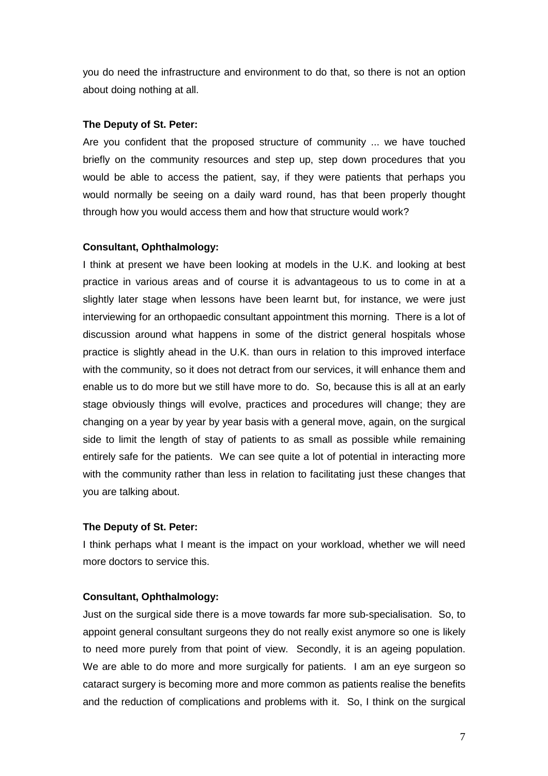you do need the infrastructure and environment to do that, so there is not an option about doing nothing at all.

#### **The Deputy of St. Peter:**

Are you confident that the proposed structure of community ... we have touched briefly on the community resources and step up, step down procedures that you would be able to access the patient, say, if they were patients that perhaps you would normally be seeing on a daily ward round, has that been properly thought through how you would access them and how that structure would work?

#### **Consultant, Ophthalmology:**

I think at present we have been looking at models in the U.K. and looking at best practice in various areas and of course it is advantageous to us to come in at a slightly later stage when lessons have been learnt but, for instance, we were just interviewing for an orthopaedic consultant appointment this morning. There is a lot of discussion around what happens in some of the district general hospitals whose practice is slightly ahead in the U.K. than ours in relation to this improved interface with the community, so it does not detract from our services, it will enhance them and enable us to do more but we still have more to do. So, because this is all at an early stage obviously things will evolve, practices and procedures will change; they are changing on a year by year by year basis with a general move, again, on the surgical side to limit the length of stay of patients to as small as possible while remaining entirely safe for the patients. We can see quite a lot of potential in interacting more with the community rather than less in relation to facilitating just these changes that you are talking about.

#### **The Deputy of St. Peter:**

I think perhaps what I meant is the impact on your workload, whether we will need more doctors to service this.

#### **Consultant, Ophthalmology:**

Just on the surgical side there is a move towards far more sub-specialisation. So, to appoint general consultant surgeons they do not really exist anymore so one is likely to need more purely from that point of view. Secondly, it is an ageing population. We are able to do more and more surgically for patients. I am an eye surgeon so cataract surgery is becoming more and more common as patients realise the benefits and the reduction of complications and problems with it. So, I think on the surgical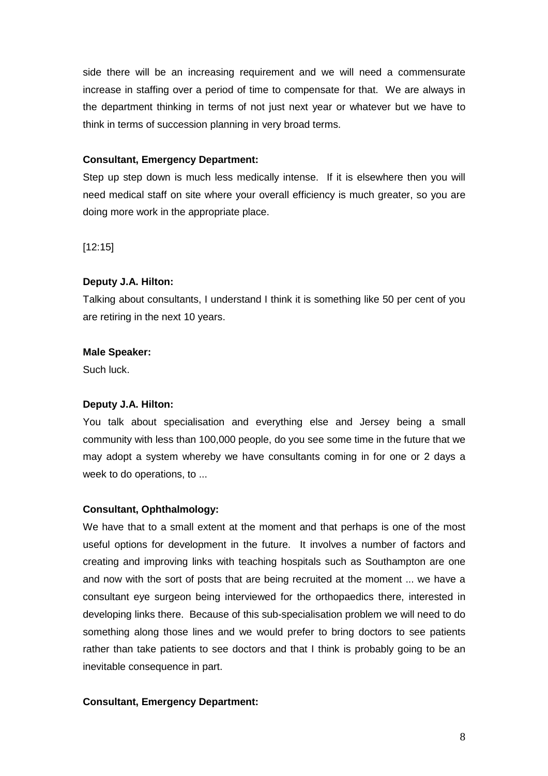side there will be an increasing requirement and we will need a commensurate increase in staffing over a period of time to compensate for that. We are always in the department thinking in terms of not just next year or whatever but we have to think in terms of succession planning in very broad terms.

#### **Consultant, Emergency Department:**

Step up step down is much less medically intense. If it is elsewhere then you will need medical staff on site where your overall efficiency is much greater, so you are doing more work in the appropriate place.

[12:15]

#### **Deputy J.A. Hilton:**

Talking about consultants, I understand I think it is something like 50 per cent of you are retiring in the next 10 years.

#### **Male Speaker:**

Such luck.

#### **Deputy J.A. Hilton:**

You talk about specialisation and everything else and Jersey being a small community with less than 100,000 people, do you see some time in the future that we may adopt a system whereby we have consultants coming in for one or 2 days a week to do operations, to ...

#### **Consultant, Ophthalmology:**

We have that to a small extent at the moment and that perhaps is one of the most useful options for development in the future. It involves a number of factors and creating and improving links with teaching hospitals such as Southampton are one and now with the sort of posts that are being recruited at the moment ... we have a consultant eye surgeon being interviewed for the orthopaedics there, interested in developing links there. Because of this sub-specialisation problem we will need to do something along those lines and we would prefer to bring doctors to see patients rather than take patients to see doctors and that I think is probably going to be an inevitable consequence in part.

#### **Consultant, Emergency Department:**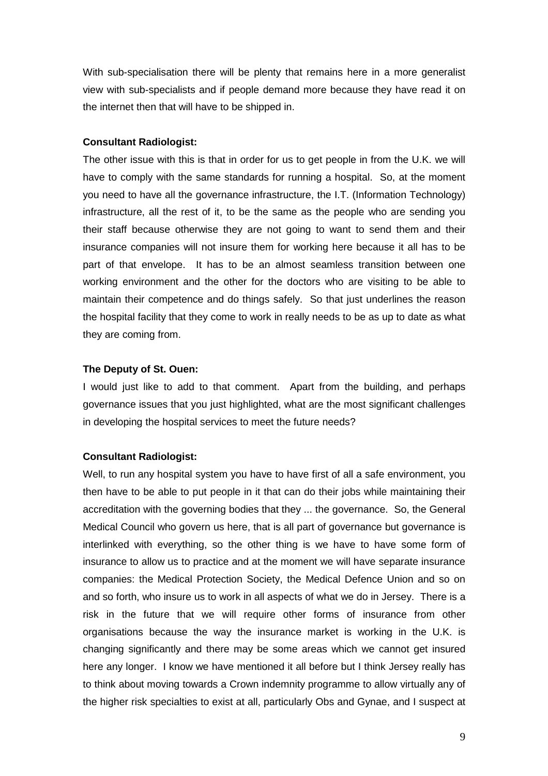With sub-specialisation there will be plenty that remains here in a more generalist view with sub-specialists and if people demand more because they have read it on the internet then that will have to be shipped in.

#### **Consultant Radiologist:**

The other issue with this is that in order for us to get people in from the U.K. we will have to comply with the same standards for running a hospital. So, at the moment you need to have all the governance infrastructure, the I.T. (Information Technology) infrastructure, all the rest of it, to be the same as the people who are sending you their staff because otherwise they are not going to want to send them and their insurance companies will not insure them for working here because it all has to be part of that envelope. It has to be an almost seamless transition between one working environment and the other for the doctors who are visiting to be able to maintain their competence and do things safely. So that just underlines the reason the hospital facility that they come to work in really needs to be as up to date as what they are coming from.

#### **The Deputy of St. Ouen:**

I would just like to add to that comment. Apart from the building, and perhaps governance issues that you just highlighted, what are the most significant challenges in developing the hospital services to meet the future needs?

#### **Consultant Radiologist:**

Well, to run any hospital system you have to have first of all a safe environment, you then have to be able to put people in it that can do their jobs while maintaining their accreditation with the governing bodies that they ... the governance. So, the General Medical Council who govern us here, that is all part of governance but governance is interlinked with everything, so the other thing is we have to have some form of insurance to allow us to practice and at the moment we will have separate insurance companies: the Medical Protection Society, the Medical Defence Union and so on and so forth, who insure us to work in all aspects of what we do in Jersey. There is a risk in the future that we will require other forms of insurance from other organisations because the way the insurance market is working in the U.K. is changing significantly and there may be some areas which we cannot get insured here any longer. I know we have mentioned it all before but I think Jersey really has to think about moving towards a Crown indemnity programme to allow virtually any of the higher risk specialties to exist at all, particularly Obs and Gynae, and I suspect at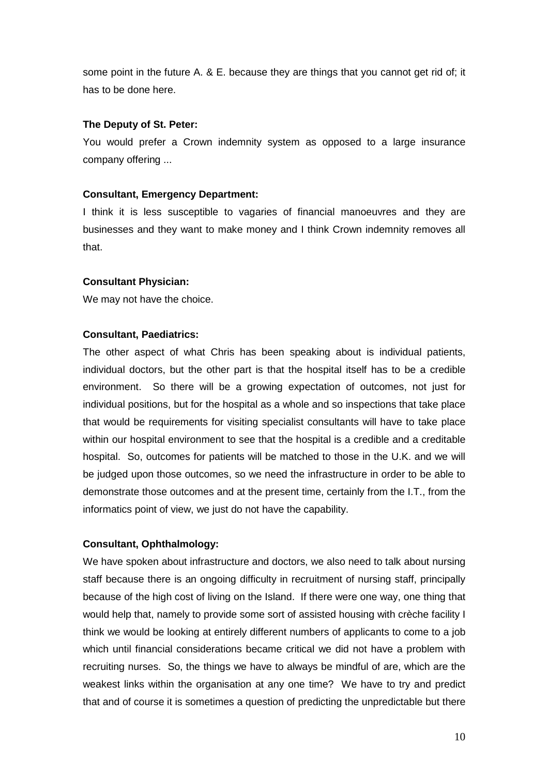some point in the future A. & E. because they are things that you cannot get rid of; it has to be done here.

## **The Deputy of St. Peter:**

You would prefer a Crown indemnity system as opposed to a large insurance company offering ...

## **Consultant, Emergency Department:**

I think it is less susceptible to vagaries of financial manoeuvres and they are businesses and they want to make money and I think Crown indemnity removes all that.

## **Consultant Physician:**

We may not have the choice.

## **Consultant, Paediatrics:**

The other aspect of what Chris has been speaking about is individual patients, individual doctors, but the other part is that the hospital itself has to be a credible environment. So there will be a growing expectation of outcomes, not just for individual positions, but for the hospital as a whole and so inspections that take place that would be requirements for visiting specialist consultants will have to take place within our hospital environment to see that the hospital is a credible and a creditable hospital. So, outcomes for patients will be matched to those in the U.K. and we will be judged upon those outcomes, so we need the infrastructure in order to be able to demonstrate those outcomes and at the present time, certainly from the I.T., from the informatics point of view, we just do not have the capability.

## **Consultant, Ophthalmology:**

We have spoken about infrastructure and doctors, we also need to talk about nursing staff because there is an ongoing difficulty in recruitment of nursing staff, principally because of the high cost of living on the Island. If there were one way, one thing that would help that, namely to provide some sort of assisted housing with crèche facility I think we would be looking at entirely different numbers of applicants to come to a job which until financial considerations became critical we did not have a problem with recruiting nurses. So, the things we have to always be mindful of are, which are the weakest links within the organisation at any one time? We have to try and predict that and of course it is sometimes a question of predicting the unpredictable but there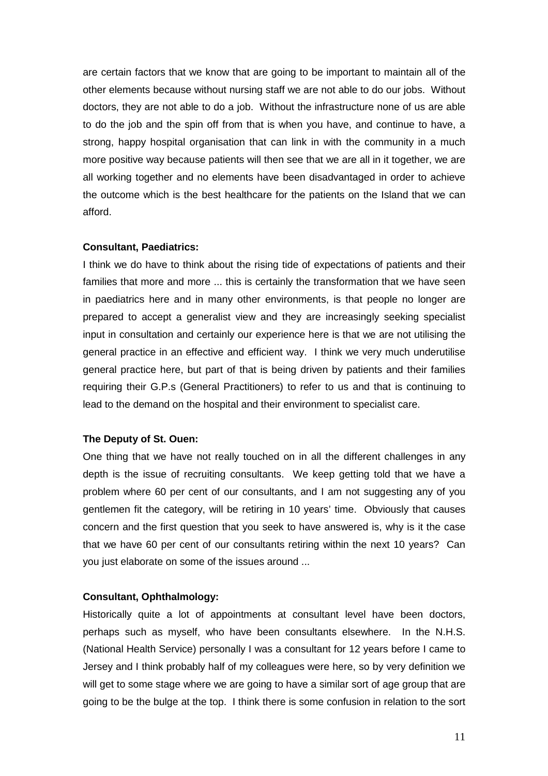are certain factors that we know that are going to be important to maintain all of the other elements because without nursing staff we are not able to do our jobs. Without doctors, they are not able to do a job. Without the infrastructure none of us are able to do the job and the spin off from that is when you have, and continue to have, a strong, happy hospital organisation that can link in with the community in a much more positive way because patients will then see that we are all in it together, we are all working together and no elements have been disadvantaged in order to achieve the outcome which is the best healthcare for the patients on the Island that we can afford.

#### **Consultant, Paediatrics:**

I think we do have to think about the rising tide of expectations of patients and their families that more and more ... this is certainly the transformation that we have seen in paediatrics here and in many other environments, is that people no longer are prepared to accept a generalist view and they are increasingly seeking specialist input in consultation and certainly our experience here is that we are not utilising the general practice in an effective and efficient way. I think we very much underutilise general practice here, but part of that is being driven by patients and their families requiring their G.P.s (General Practitioners) to refer to us and that is continuing to lead to the demand on the hospital and their environment to specialist care.

#### **The Deputy of St. Ouen:**

One thing that we have not really touched on in all the different challenges in any depth is the issue of recruiting consultants. We keep getting told that we have a problem where 60 per cent of our consultants, and I am not suggesting any of you gentlemen fit the category, will be retiring in 10 years' time. Obviously that causes concern and the first question that you seek to have answered is, why is it the case that we have 60 per cent of our consultants retiring within the next 10 years? Can you just elaborate on some of the issues around ...

#### **Consultant, Ophthalmology:**

Historically quite a lot of appointments at consultant level have been doctors, perhaps such as myself, who have been consultants elsewhere. In the N.H.S. (National Health Service) personally I was a consultant for 12 years before I came to Jersey and I think probably half of my colleagues were here, so by very definition we will get to some stage where we are going to have a similar sort of age group that are going to be the bulge at the top. I think there is some confusion in relation to the sort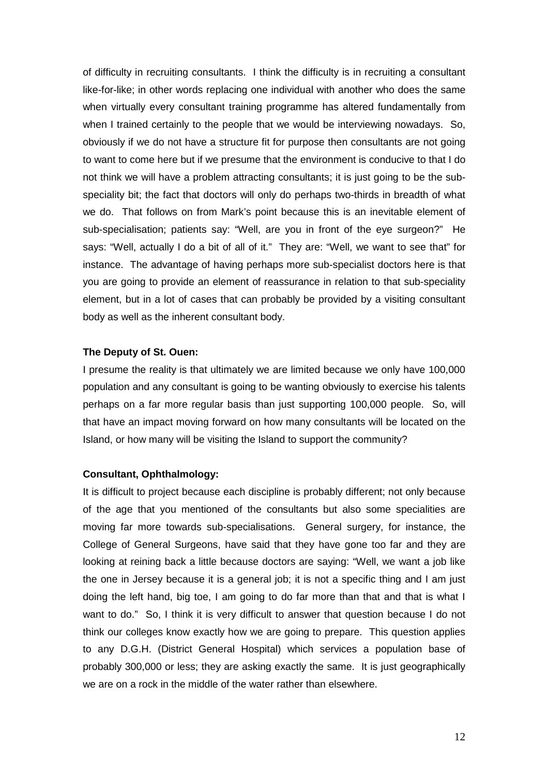of difficulty in recruiting consultants. I think the difficulty is in recruiting a consultant like-for-like; in other words replacing one individual with another who does the same when virtually every consultant training programme has altered fundamentally from when I trained certainly to the people that we would be interviewing nowadays. So, obviously if we do not have a structure fit for purpose then consultants are not going to want to come here but if we presume that the environment is conducive to that I do not think we will have a problem attracting consultants; it is just going to be the subspeciality bit; the fact that doctors will only do perhaps two-thirds in breadth of what we do. That follows on from Mark's point because this is an inevitable element of sub-specialisation; patients say: "Well, are you in front of the eye surgeon?" He says: "Well, actually I do a bit of all of it." They are: "Well, we want to see that" for instance. The advantage of having perhaps more sub-specialist doctors here is that you are going to provide an element of reassurance in relation to that sub-speciality element, but in a lot of cases that can probably be provided by a visiting consultant body as well as the inherent consultant body.

#### **The Deputy of St. Ouen:**

I presume the reality is that ultimately we are limited because we only have 100,000 population and any consultant is going to be wanting obviously to exercise his talents perhaps on a far more regular basis than just supporting 100,000 people. So, will that have an impact moving forward on how many consultants will be located on the Island, or how many will be visiting the Island to support the community?

#### **Consultant, Ophthalmology:**

It is difficult to project because each discipline is probably different; not only because of the age that you mentioned of the consultants but also some specialities are moving far more towards sub-specialisations. General surgery, for instance, the College of General Surgeons, have said that they have gone too far and they are looking at reining back a little because doctors are saying: "Well, we want a job like the one in Jersey because it is a general job; it is not a specific thing and I am just doing the left hand, big toe, I am going to do far more than that and that is what I want to do." So, I think it is very difficult to answer that question because I do not think our colleges know exactly how we are going to prepare. This question applies to any D.G.H. (District General Hospital) which services a population base of probably 300,000 or less; they are asking exactly the same. It is just geographically we are on a rock in the middle of the water rather than elsewhere.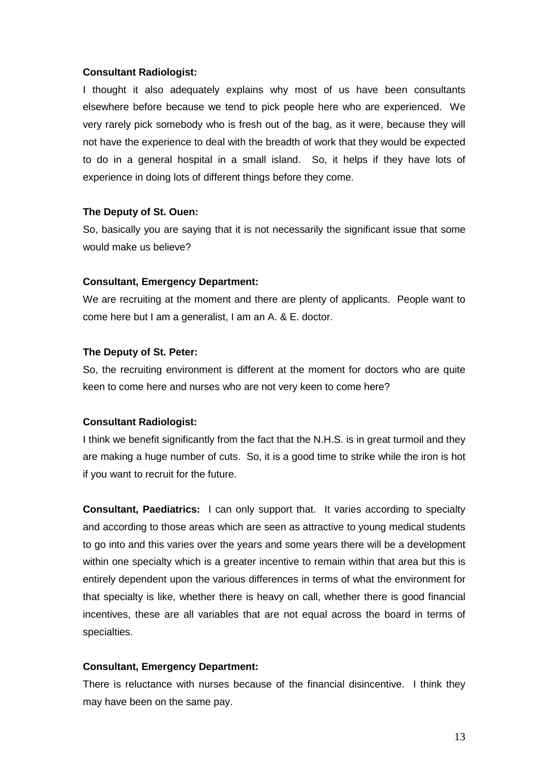#### **Consultant Radiologist:**

I thought it also adequately explains why most of us have been consultants elsewhere before because we tend to pick people here who are experienced. We very rarely pick somebody who is fresh out of the bag, as it were, because they will not have the experience to deal with the breadth of work that they would be expected to do in a general hospital in a small island. So, it helps if they have lots of experience in doing lots of different things before they come.

#### **The Deputy of St. Ouen:**

So, basically you are saying that it is not necessarily the significant issue that some would make us believe?

#### **Consultant, Emergency Department:**

We are recruiting at the moment and there are plenty of applicants. People want to come here but I am a generalist, I am an A. & E. doctor.

#### **The Deputy of St. Peter:**

So, the recruiting environment is different at the moment for doctors who are quite keen to come here and nurses who are not very keen to come here?

#### **Consultant Radiologist:**

I think we benefit significantly from the fact that the N.H.S. is in great turmoil and they are making a huge number of cuts. So, it is a good time to strike while the iron is hot if you want to recruit for the future.

**Consultant, Paediatrics:** I can only support that. It varies according to specialty and according to those areas which are seen as attractive to young medical students to go into and this varies over the years and some years there will be a development within one specialty which is a greater incentive to remain within that area but this is entirely dependent upon the various differences in terms of what the environment for that specialty is like, whether there is heavy on call, whether there is good financial incentives, these are all variables that are not equal across the board in terms of specialties.

#### **Consultant, Emergency Department:**

There is reluctance with nurses because of the financial disincentive. I think they may have been on the same pay.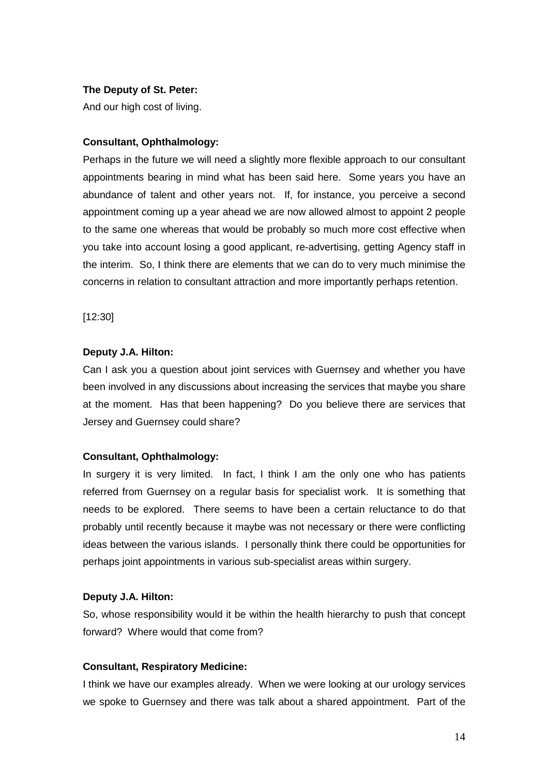#### **The Deputy of St. Peter:**

And our high cost of living.

#### **Consultant, Ophthalmology:**

Perhaps in the future we will need a slightly more flexible approach to our consultant appointments bearing in mind what has been said here. Some years you have an abundance of talent and other years not. If, for instance, you perceive a second appointment coming up a year ahead we are now allowed almost to appoint 2 people to the same one whereas that would be probably so much more cost effective when you take into account losing a good applicant, re-advertising, getting Agency staff in the interim. So, I think there are elements that we can do to very much minimise the concerns in relation to consultant attraction and more importantly perhaps retention.

[12:30]

#### **Deputy J.A. Hilton:**

Can I ask you a question about joint services with Guernsey and whether you have been involved in any discussions about increasing the services that maybe you share at the moment. Has that been happening? Do you believe there are services that Jersey and Guernsey could share?

## **Consultant, Ophthalmology:**

In surgery it is very limited. In fact, I think I am the only one who has patients referred from Guernsey on a regular basis for specialist work. It is something that needs to be explored. There seems to have been a certain reluctance to do that probably until recently because it maybe was not necessary or there were conflicting ideas between the various islands. I personally think there could be opportunities for perhaps joint appointments in various sub-specialist areas within surgery.

#### **Deputy J.A. Hilton:**

So, whose responsibility would it be within the health hierarchy to push that concept forward? Where would that come from?

#### **Consultant, Respiratory Medicine:**

I think we have our examples already. When we were looking at our urology services we spoke to Guernsey and there was talk about a shared appointment. Part of the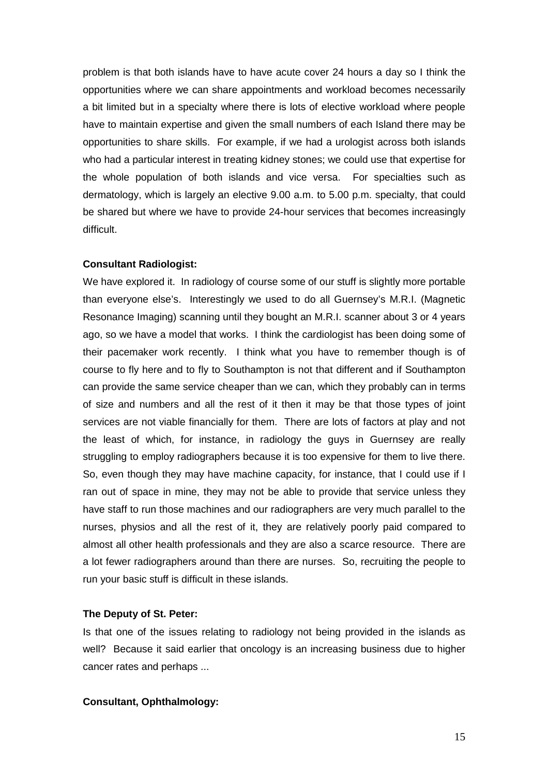problem is that both islands have to have acute cover 24 hours a day so I think the opportunities where we can share appointments and workload becomes necessarily a bit limited but in a specialty where there is lots of elective workload where people have to maintain expertise and given the small numbers of each Island there may be opportunities to share skills. For example, if we had a urologist across both islands who had a particular interest in treating kidney stones; we could use that expertise for the whole population of both islands and vice versa. For specialties such as dermatology, which is largely an elective 9.00 a.m. to 5.00 p.m. specialty, that could be shared but where we have to provide 24-hour services that becomes increasingly difficult.

#### **Consultant Radiologist:**

We have explored it. In radiology of course some of our stuff is slightly more portable than everyone else's. Interestingly we used to do all Guernsey's M.R.I. (Magnetic Resonance Imaging) scanning until they bought an M.R.I. scanner about 3 or 4 years ago, so we have a model that works. I think the cardiologist has been doing some of their pacemaker work recently. I think what you have to remember though is of course to fly here and to fly to Southampton is not that different and if Southampton can provide the same service cheaper than we can, which they probably can in terms of size and numbers and all the rest of it then it may be that those types of joint services are not viable financially for them. There are lots of factors at play and not the least of which, for instance, in radiology the guys in Guernsey are really struggling to employ radiographers because it is too expensive for them to live there. So, even though they may have machine capacity, for instance, that I could use if I ran out of space in mine, they may not be able to provide that service unless they have staff to run those machines and our radiographers are very much parallel to the nurses, physios and all the rest of it, they are relatively poorly paid compared to almost all other health professionals and they are also a scarce resource. There are a lot fewer radiographers around than there are nurses. So, recruiting the people to run your basic stuff is difficult in these islands.

## **The Deputy of St. Peter:**

Is that one of the issues relating to radiology not being provided in the islands as well? Because it said earlier that oncology is an increasing business due to higher cancer rates and perhaps ...

## **Consultant, Ophthalmology:**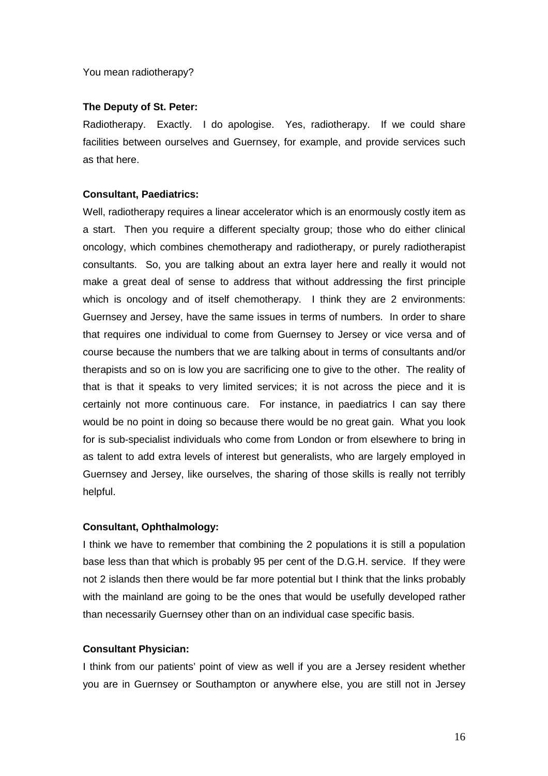You mean radiotherapy?

#### **The Deputy of St. Peter:**

Radiotherapy. Exactly. I do apologise. Yes, radiotherapy. If we could share facilities between ourselves and Guernsey, for example, and provide services such as that here.

#### **Consultant, Paediatrics:**

Well, radiotherapy requires a linear accelerator which is an enormously costly item as a start. Then you require a different specialty group; those who do either clinical oncology, which combines chemotherapy and radiotherapy, or purely radiotherapist consultants. So, you are talking about an extra layer here and really it would not make a great deal of sense to address that without addressing the first principle which is oncology and of itself chemotherapy. I think they are 2 environments: Guernsey and Jersey, have the same issues in terms of numbers. In order to share that requires one individual to come from Guernsey to Jersey or vice versa and of course because the numbers that we are talking about in terms of consultants and/or therapists and so on is low you are sacrificing one to give to the other. The reality of that is that it speaks to very limited services; it is not across the piece and it is certainly not more continuous care. For instance, in paediatrics I can say there would be no point in doing so because there would be no great gain. What you look for is sub-specialist individuals who come from London or from elsewhere to bring in as talent to add extra levels of interest but generalists, who are largely employed in Guernsey and Jersey, like ourselves, the sharing of those skills is really not terribly helpful.

## **Consultant, Ophthalmology:**

I think we have to remember that combining the 2 populations it is still a population base less than that which is probably 95 per cent of the D.G.H. service. If they were not 2 islands then there would be far more potential but I think that the links probably with the mainland are going to be the ones that would be usefully developed rather than necessarily Guernsey other than on an individual case specific basis.

## **Consultant Physician:**

I think from our patients' point of view as well if you are a Jersey resident whether you are in Guernsey or Southampton or anywhere else, you are still not in Jersey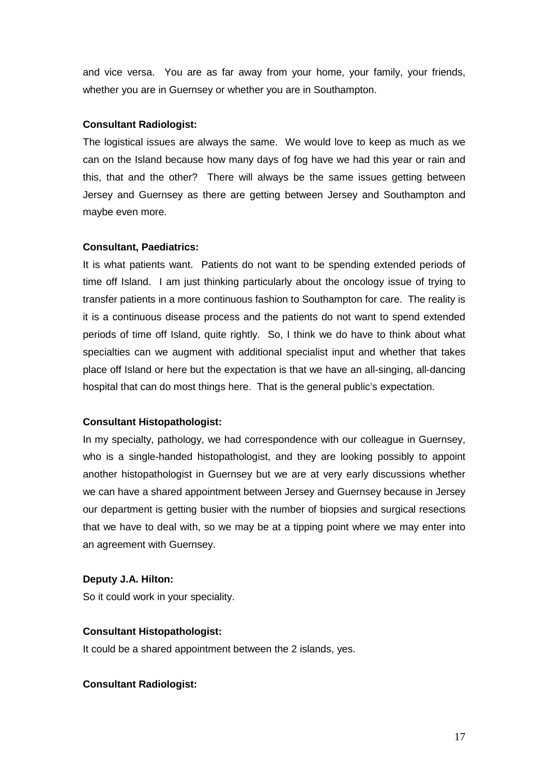and vice versa. You are as far away from your home, your family, your friends, whether you are in Guernsey or whether you are in Southampton.

#### **Consultant Radiologist:**

The logistical issues are always the same. We would love to keep as much as we can on the Island because how many days of fog have we had this year or rain and this, that and the other? There will always be the same issues getting between Jersey and Guernsey as there are getting between Jersey and Southampton and maybe even more.

#### **Consultant, Paediatrics:**

It is what patients want. Patients do not want to be spending extended periods of time off Island. I am just thinking particularly about the oncology issue of trying to transfer patients in a more continuous fashion to Southampton for care. The reality is it is a continuous disease process and the patients do not want to spend extended periods of time off Island, quite rightly. So, I think we do have to think about what specialties can we augment with additional specialist input and whether that takes place off Island or here but the expectation is that we have an all-singing, all-dancing hospital that can do most things here. That is the general public's expectation.

#### **Consultant Histopathologist:**

In my specialty, pathology, we had correspondence with our colleague in Guernsey, who is a single-handed histopathologist, and they are looking possibly to appoint another histopathologist in Guernsey but we are at very early discussions whether we can have a shared appointment between Jersey and Guernsey because in Jersey our department is getting busier with the number of biopsies and surgical resections that we have to deal with, so we may be at a tipping point where we may enter into an agreement with Guernsey.

## **Deputy J.A. Hilton:**

So it could work in your speciality.

#### **Consultant Histopathologist:**

It could be a shared appointment between the 2 islands, yes.

#### **Consultant Radiologist:**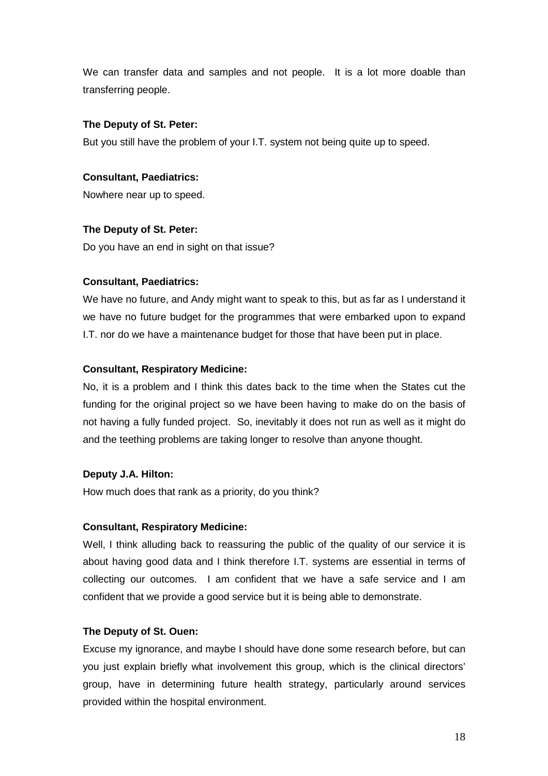We can transfer data and samples and not people. It is a lot more doable than transferring people.

## **The Deputy of St. Peter:**

But you still have the problem of your I.T. system not being quite up to speed.

## **Consultant, Paediatrics:**

Nowhere near up to speed.

## **The Deputy of St. Peter:**

Do you have an end in sight on that issue?

## **Consultant, Paediatrics:**

We have no future, and Andy might want to speak to this, but as far as I understand it we have no future budget for the programmes that were embarked upon to expand I.T. nor do we have a maintenance budget for those that have been put in place.

## **Consultant, Respiratory Medicine:**

No, it is a problem and I think this dates back to the time when the States cut the funding for the original project so we have been having to make do on the basis of not having a fully funded project. So, inevitably it does not run as well as it might do and the teething problems are taking longer to resolve than anyone thought.

## **Deputy J.A. Hilton:**

How much does that rank as a priority, do you think?

## **Consultant, Respiratory Medicine:**

Well, I think alluding back to reassuring the public of the quality of our service it is about having good data and I think therefore I.T. systems are essential in terms of collecting our outcomes. I am confident that we have a safe service and I am confident that we provide a good service but it is being able to demonstrate.

## **The Deputy of St. Ouen:**

Excuse my ignorance, and maybe I should have done some research before, but can you just explain briefly what involvement this group, which is the clinical directors' group, have in determining future health strategy, particularly around services provided within the hospital environment.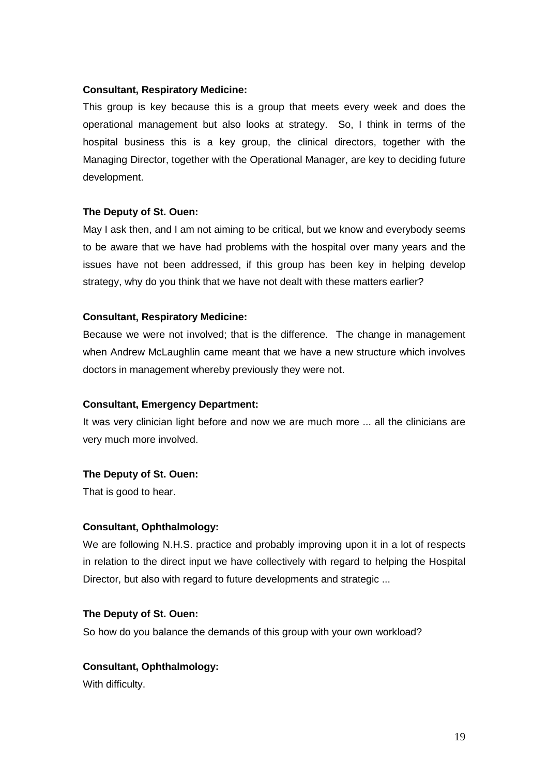## **Consultant, Respiratory Medicine:**

This group is key because this is a group that meets every week and does the operational management but also looks at strategy. So, I think in terms of the hospital business this is a key group, the clinical directors, together with the Managing Director, together with the Operational Manager, are key to deciding future development.

#### **The Deputy of St. Ouen:**

May I ask then, and I am not aiming to be critical, but we know and everybody seems to be aware that we have had problems with the hospital over many years and the issues have not been addressed, if this group has been key in helping develop strategy, why do you think that we have not dealt with these matters earlier?

#### **Consultant, Respiratory Medicine:**

Because we were not involved; that is the difference. The change in management when Andrew McLaughlin came meant that we have a new structure which involves doctors in management whereby previously they were not.

#### **Consultant, Emergency Department:**

It was very clinician light before and now we are much more ... all the clinicians are very much more involved.

## **The Deputy of St. Ouen:**

That is good to hear.

## **Consultant, Ophthalmology:**

We are following N.H.S. practice and probably improving upon it in a lot of respects in relation to the direct input we have collectively with regard to helping the Hospital Director, but also with regard to future developments and strategic ...

#### **The Deputy of St. Ouen:**

So how do you balance the demands of this group with your own workload?

## **Consultant, Ophthalmology:**

With difficulty.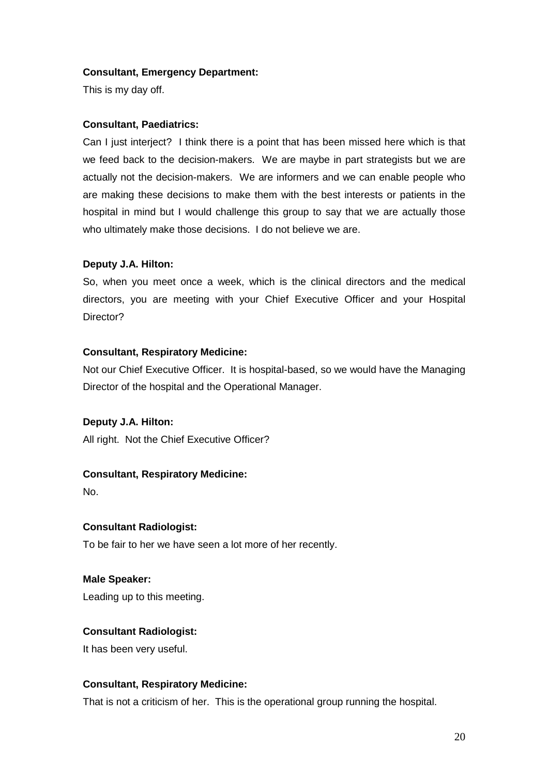## **Consultant, Emergency Department:**

This is my day off.

## **Consultant, Paediatrics:**

Can I just interject? I think there is a point that has been missed here which is that we feed back to the decision-makers. We are maybe in part strategists but we are actually not the decision-makers. We are informers and we can enable people who are making these decisions to make them with the best interests or patients in the hospital in mind but I would challenge this group to say that we are actually those who ultimately make those decisions. I do not believe we are.

#### **Deputy J.A. Hilton:**

So, when you meet once a week, which is the clinical directors and the medical directors, you are meeting with your Chief Executive Officer and your Hospital Director?

#### **Consultant, Respiratory Medicine:**

Not our Chief Executive Officer. It is hospital-based, so we would have the Managing Director of the hospital and the Operational Manager.

#### **Deputy J.A. Hilton:**

All right. Not the Chief Executive Officer?

## **Consultant, Respiratory Medicine:**

No.

#### **Consultant Radiologist:**

To be fair to her we have seen a lot more of her recently.

**Male Speaker:** 

Leading up to this meeting.

## **Consultant Radiologist:**

It has been very useful.

## **Consultant, Respiratory Medicine:**

That is not a criticism of her. This is the operational group running the hospital.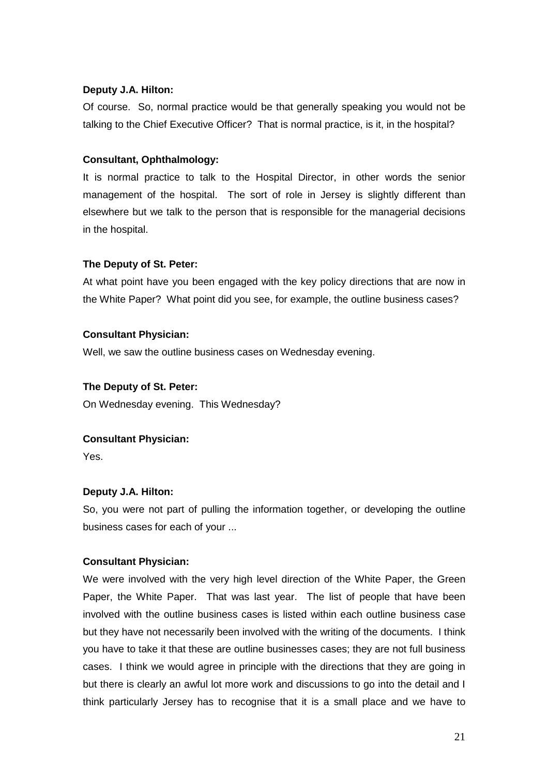## **Deputy J.A. Hilton:**

Of course. So, normal practice would be that generally speaking you would not be talking to the Chief Executive Officer? That is normal practice, is it, in the hospital?

## **Consultant, Ophthalmology:**

It is normal practice to talk to the Hospital Director, in other words the senior management of the hospital. The sort of role in Jersey is slightly different than elsewhere but we talk to the person that is responsible for the managerial decisions in the hospital.

## **The Deputy of St. Peter:**

At what point have you been engaged with the key policy directions that are now in the White Paper? What point did you see, for example, the outline business cases?

## **Consultant Physician:**

Well, we saw the outline business cases on Wednesday evening.

## **The Deputy of St. Peter:**

On Wednesday evening. This Wednesday?

## **Consultant Physician:**

Yes.

## **Deputy J.A. Hilton:**

So, you were not part of pulling the information together, or developing the outline business cases for each of your ...

## **Consultant Physician:**

We were involved with the very high level direction of the White Paper, the Green Paper, the White Paper. That was last year. The list of people that have been involved with the outline business cases is listed within each outline business case but they have not necessarily been involved with the writing of the documents. I think you have to take it that these are outline businesses cases; they are not full business cases. I think we would agree in principle with the directions that they are going in but there is clearly an awful lot more work and discussions to go into the detail and I think particularly Jersey has to recognise that it is a small place and we have to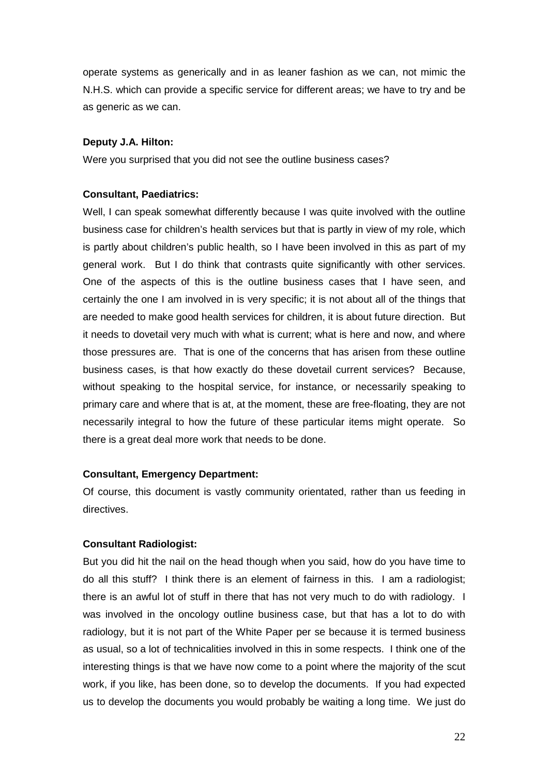operate systems as generically and in as leaner fashion as we can, not mimic the N.H.S. which can provide a specific service for different areas; we have to try and be as generic as we can.

## **Deputy J.A. Hilton:**

Were you surprised that you did not see the outline business cases?

#### **Consultant, Paediatrics:**

Well, I can speak somewhat differently because I was quite involved with the outline business case for children's health services but that is partly in view of my role, which is partly about children's public health, so I have been involved in this as part of my general work. But I do think that contrasts quite significantly with other services. One of the aspects of this is the outline business cases that I have seen, and certainly the one I am involved in is very specific; it is not about all of the things that are needed to make good health services for children, it is about future direction. But it needs to dovetail very much with what is current; what is here and now, and where those pressures are. That is one of the concerns that has arisen from these outline business cases, is that how exactly do these dovetail current services? Because, without speaking to the hospital service, for instance, or necessarily speaking to primary care and where that is at, at the moment, these are free-floating, they are not necessarily integral to how the future of these particular items might operate. So there is a great deal more work that needs to be done.

## **Consultant, Emergency Department:**

Of course, this document is vastly community orientated, rather than us feeding in directives.

## **Consultant Radiologist:**

But you did hit the nail on the head though when you said, how do you have time to do all this stuff? I think there is an element of fairness in this. I am a radiologist; there is an awful lot of stuff in there that has not very much to do with radiology. I was involved in the oncology outline business case, but that has a lot to do with radiology, but it is not part of the White Paper per se because it is termed business as usual, so a lot of technicalities involved in this in some respects. I think one of the interesting things is that we have now come to a point where the majority of the scut work, if you like, has been done, so to develop the documents. If you had expected us to develop the documents you would probably be waiting a long time. We just do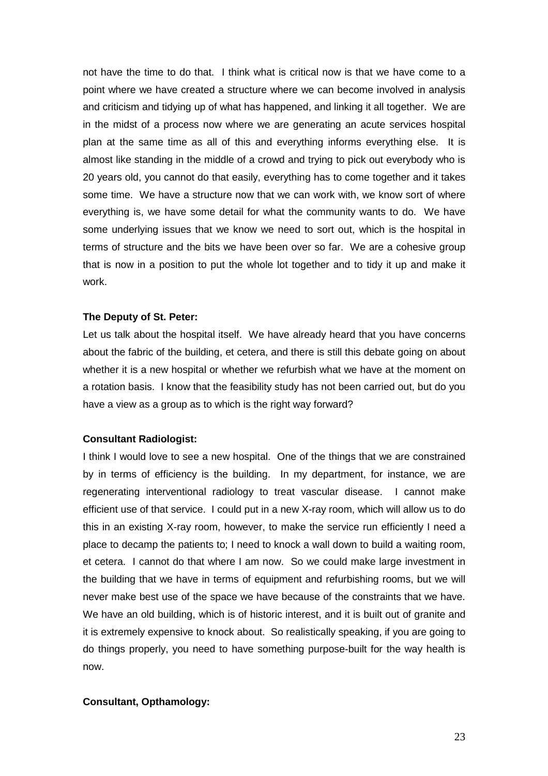not have the time to do that. I think what is critical now is that we have come to a point where we have created a structure where we can become involved in analysis and criticism and tidying up of what has happened, and linking it all together. We are in the midst of a process now where we are generating an acute services hospital plan at the same time as all of this and everything informs everything else. It is almost like standing in the middle of a crowd and trying to pick out everybody who is 20 years old, you cannot do that easily, everything has to come together and it takes some time. We have a structure now that we can work with, we know sort of where everything is, we have some detail for what the community wants to do. We have some underlying issues that we know we need to sort out, which is the hospital in terms of structure and the bits we have been over so far. We are a cohesive group that is now in a position to put the whole lot together and to tidy it up and make it work.

#### **The Deputy of St. Peter:**

Let us talk about the hospital itself. We have already heard that you have concerns about the fabric of the building, et cetera, and there is still this debate going on about whether it is a new hospital or whether we refurbish what we have at the moment on a rotation basis. I know that the feasibility study has not been carried out, but do you have a view as a group as to which is the right way forward?

#### **Consultant Radiologist:**

I think I would love to see a new hospital. One of the things that we are constrained by in terms of efficiency is the building. In my department, for instance, we are regenerating interventional radiology to treat vascular disease. I cannot make efficient use of that service. I could put in a new X-ray room, which will allow us to do this in an existing X-ray room, however, to make the service run efficiently I need a place to decamp the patients to; I need to knock a wall down to build a waiting room, et cetera. I cannot do that where I am now. So we could make large investment in the building that we have in terms of equipment and refurbishing rooms, but we will never make best use of the space we have because of the constraints that we have. We have an old building, which is of historic interest, and it is built out of granite and it is extremely expensive to knock about. So realistically speaking, if you are going to do things properly, you need to have something purpose-built for the way health is now.

#### **Consultant, Opthamology:**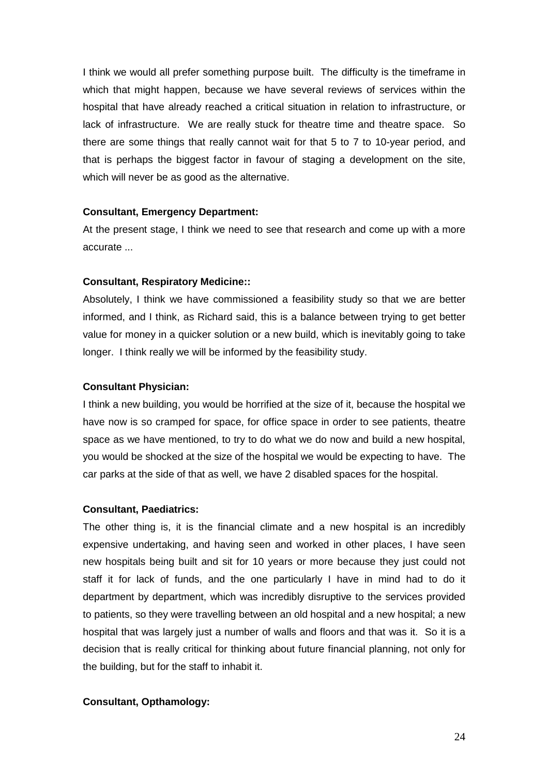I think we would all prefer something purpose built. The difficulty is the timeframe in which that might happen, because we have several reviews of services within the hospital that have already reached a critical situation in relation to infrastructure, or lack of infrastructure. We are really stuck for theatre time and theatre space. So there are some things that really cannot wait for that 5 to 7 to 10-year period, and that is perhaps the biggest factor in favour of staging a development on the site, which will never be as good as the alternative.

#### **Consultant, Emergency Department:**

At the present stage, I think we need to see that research and come up with a more accurate ...

#### **Consultant, Respiratory Medicine::**

Absolutely, I think we have commissioned a feasibility study so that we are better informed, and I think, as Richard said, this is a balance between trying to get better value for money in a quicker solution or a new build, which is inevitably going to take longer. I think really we will be informed by the feasibility study.

#### **Consultant Physician:**

I think a new building, you would be horrified at the size of it, because the hospital we have now is so cramped for space, for office space in order to see patients, theatre space as we have mentioned, to try to do what we do now and build a new hospital, you would be shocked at the size of the hospital we would be expecting to have. The car parks at the side of that as well, we have 2 disabled spaces for the hospital.

#### **Consultant, Paediatrics:**

The other thing is, it is the financial climate and a new hospital is an incredibly expensive undertaking, and having seen and worked in other places, I have seen new hospitals being built and sit for 10 years or more because they just could not staff it for lack of funds, and the one particularly I have in mind had to do it department by department, which was incredibly disruptive to the services provided to patients, so they were travelling between an old hospital and a new hospital; a new hospital that was largely just a number of walls and floors and that was it. So it is a decision that is really critical for thinking about future financial planning, not only for the building, but for the staff to inhabit it.

## **Consultant, Opthamology:**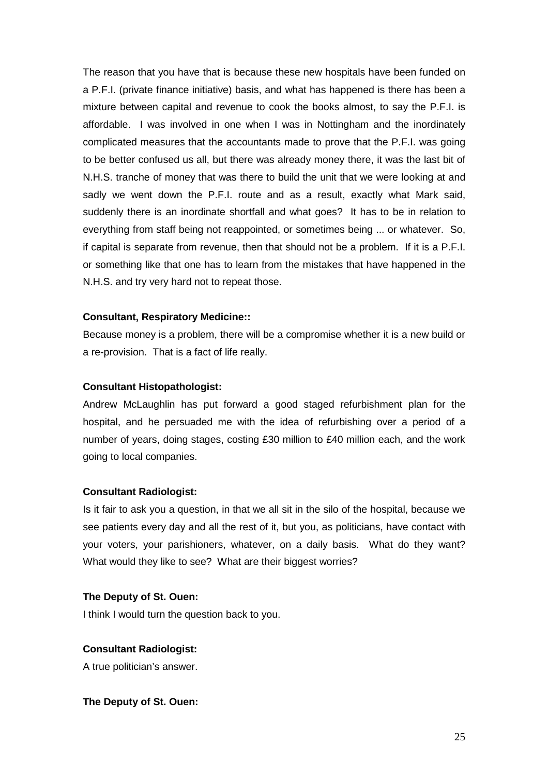The reason that you have that is because these new hospitals have been funded on a P.F.I. (private finance initiative) basis, and what has happened is there has been a mixture between capital and revenue to cook the books almost, to say the P.F.I. is affordable. I was involved in one when I was in Nottingham and the inordinately complicated measures that the accountants made to prove that the P.F.I. was going to be better confused us all, but there was already money there, it was the last bit of N.H.S. tranche of money that was there to build the unit that we were looking at and sadly we went down the P.F.I. route and as a result, exactly what Mark said, suddenly there is an inordinate shortfall and what goes? It has to be in relation to everything from staff being not reappointed, or sometimes being ... or whatever. So, if capital is separate from revenue, then that should not be a problem. If it is a P.F.I. or something like that one has to learn from the mistakes that have happened in the N.H.S. and try very hard not to repeat those.

#### **Consultant, Respiratory Medicine::**

Because money is a problem, there will be a compromise whether it is a new build or a re-provision. That is a fact of life really.

#### **Consultant Histopathologist:**

Andrew McLaughlin has put forward a good staged refurbishment plan for the hospital, and he persuaded me with the idea of refurbishing over a period of a number of years, doing stages, costing £30 million to £40 million each, and the work going to local companies.

#### **Consultant Radiologist:**

Is it fair to ask you a question, in that we all sit in the silo of the hospital, because we see patients every day and all the rest of it, but you, as politicians, have contact with your voters, your parishioners, whatever, on a daily basis. What do they want? What would they like to see? What are their biggest worries?

#### **The Deputy of St. Ouen:**

I think I would turn the question back to you.

## **Consultant Radiologist:**

A true politician's answer.

## **The Deputy of St. Ouen:**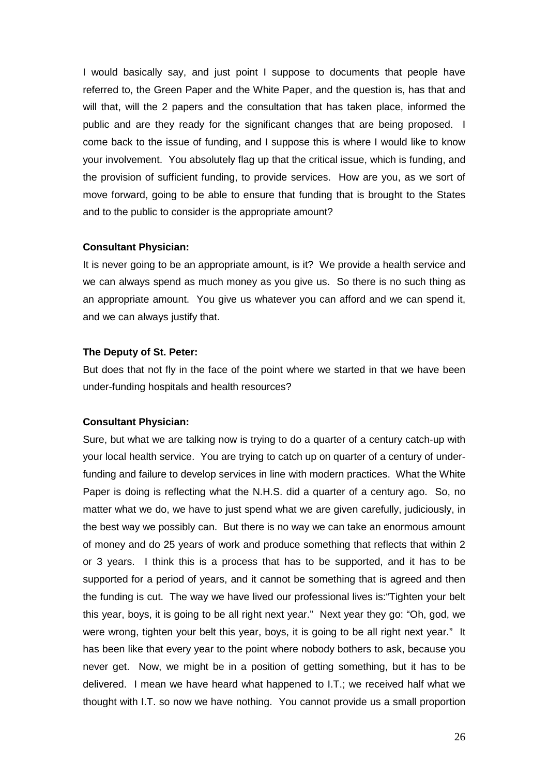I would basically say, and just point I suppose to documents that people have referred to, the Green Paper and the White Paper, and the question is, has that and will that, will the 2 papers and the consultation that has taken place, informed the public and are they ready for the significant changes that are being proposed. I come back to the issue of funding, and I suppose this is where I would like to know your involvement. You absolutely flag up that the critical issue, which is funding, and the provision of sufficient funding, to provide services. How are you, as we sort of move forward, going to be able to ensure that funding that is brought to the States and to the public to consider is the appropriate amount?

#### **Consultant Physician:**

It is never going to be an appropriate amount, is it? We provide a health service and we can always spend as much money as you give us. So there is no such thing as an appropriate amount. You give us whatever you can afford and we can spend it, and we can always justify that.

#### **The Deputy of St. Peter:**

But does that not fly in the face of the point where we started in that we have been under-funding hospitals and health resources?

#### **Consultant Physician:**

Sure, but what we are talking now is trying to do a quarter of a century catch-up with your local health service. You are trying to catch up on quarter of a century of underfunding and failure to develop services in line with modern practices. What the White Paper is doing is reflecting what the N.H.S. did a quarter of a century ago. So, no matter what we do, we have to just spend what we are given carefully, judiciously, in the best way we possibly can. But there is no way we can take an enormous amount of money and do 25 years of work and produce something that reflects that within 2 or 3 years. I think this is a process that has to be supported, and it has to be supported for a period of years, and it cannot be something that is agreed and then the funding is cut. The way we have lived our professional lives is:"Tighten your belt this year, boys, it is going to be all right next year." Next year they go: "Oh, god, we were wrong, tighten your belt this year, boys, it is going to be all right next year." It has been like that every year to the point where nobody bothers to ask, because you never get. Now, we might be in a position of getting something, but it has to be delivered. I mean we have heard what happened to I.T.; we received half what we thought with I.T. so now we have nothing. You cannot provide us a small proportion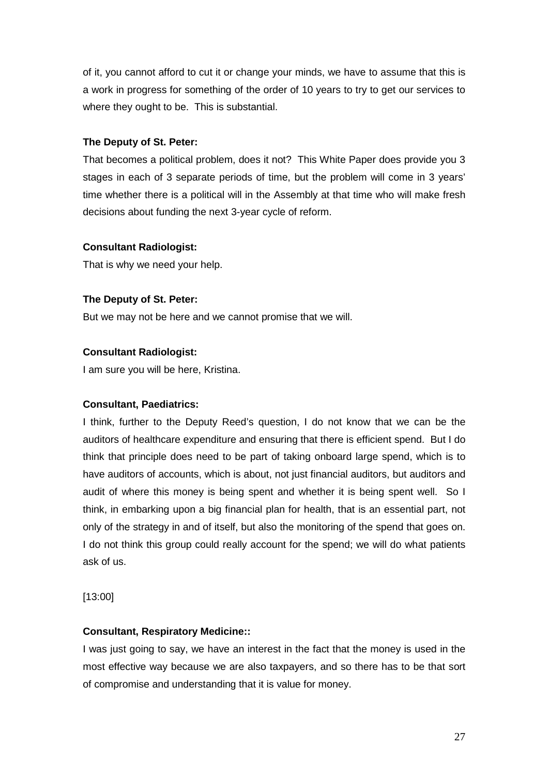of it, you cannot afford to cut it or change your minds, we have to assume that this is a work in progress for something of the order of 10 years to try to get our services to where they ought to be. This is substantial.

## **The Deputy of St. Peter:**

That becomes a political problem, does it not? This White Paper does provide you 3 stages in each of 3 separate periods of time, but the problem will come in 3 years' time whether there is a political will in the Assembly at that time who will make fresh decisions about funding the next 3-year cycle of reform.

## **Consultant Radiologist:**

That is why we need your help.

## **The Deputy of St. Peter:**

But we may not be here and we cannot promise that we will.

## **Consultant Radiologist:**

I am sure you will be here, Kristina.

## **Consultant, Paediatrics:**

I think, further to the Deputy Reed's question, I do not know that we can be the auditors of healthcare expenditure and ensuring that there is efficient spend. But I do think that principle does need to be part of taking onboard large spend, which is to have auditors of accounts, which is about, not just financial auditors, but auditors and audit of where this money is being spent and whether it is being spent well. So I think, in embarking upon a big financial plan for health, that is an essential part, not only of the strategy in and of itself, but also the monitoring of the spend that goes on. I do not think this group could really account for the spend; we will do what patients ask of us.

[13:00]

## **Consultant, Respiratory Medicine::**

I was just going to say, we have an interest in the fact that the money is used in the most effective way because we are also taxpayers, and so there has to be that sort of compromise and understanding that it is value for money.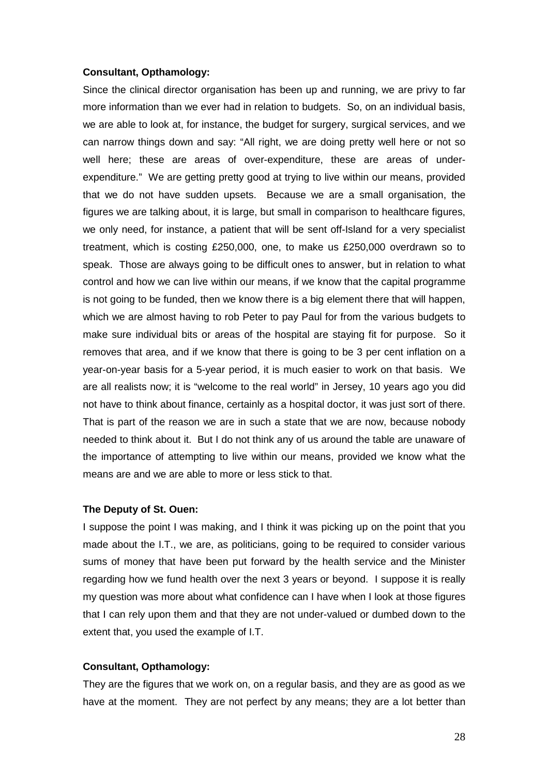#### **Consultant, Opthamology:**

Since the clinical director organisation has been up and running, we are privy to far more information than we ever had in relation to budgets. So, on an individual basis, we are able to look at, for instance, the budget for surgery, surgical services, and we can narrow things down and say: "All right, we are doing pretty well here or not so well here; these are areas of over-expenditure, these are areas of underexpenditure." We are getting pretty good at trying to live within our means, provided that we do not have sudden upsets. Because we are a small organisation, the figures we are talking about, it is large, but small in comparison to healthcare figures, we only need, for instance, a patient that will be sent off-Island for a very specialist treatment, which is costing £250,000, one, to make us £250,000 overdrawn so to speak. Those are always going to be difficult ones to answer, but in relation to what control and how we can live within our means, if we know that the capital programme is not going to be funded, then we know there is a big element there that will happen, which we are almost having to rob Peter to pay Paul for from the various budgets to make sure individual bits or areas of the hospital are staying fit for purpose. So it removes that area, and if we know that there is going to be 3 per cent inflation on a year-on-year basis for a 5-year period, it is much easier to work on that basis. We are all realists now; it is "welcome to the real world" in Jersey, 10 years ago you did not have to think about finance, certainly as a hospital doctor, it was just sort of there. That is part of the reason we are in such a state that we are now, because nobody needed to think about it. But I do not think any of us around the table are unaware of the importance of attempting to live within our means, provided we know what the means are and we are able to more or less stick to that.

#### **The Deputy of St. Ouen:**

I suppose the point I was making, and I think it was picking up on the point that you made about the I.T., we are, as politicians, going to be required to consider various sums of money that have been put forward by the health service and the Minister regarding how we fund health over the next 3 years or beyond. I suppose it is really my question was more about what confidence can I have when I look at those figures that I can rely upon them and that they are not under-valued or dumbed down to the extent that, you used the example of I.T.

#### **Consultant, Opthamology:**

They are the figures that we work on, on a regular basis, and they are as good as we have at the moment. They are not perfect by any means; they are a lot better than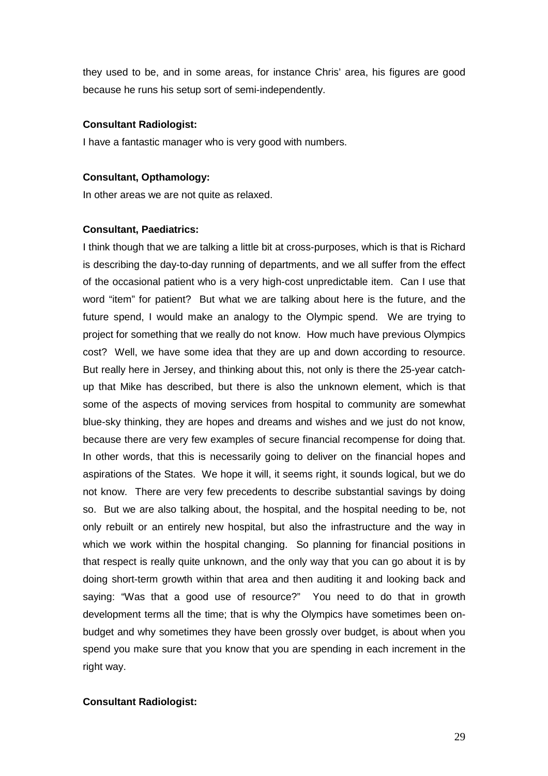they used to be, and in some areas, for instance Chris' area, his figures are good because he runs his setup sort of semi-independently.

#### **Consultant Radiologist:**

I have a fantastic manager who is very good with numbers.

#### **Consultant, Opthamology:**

In other areas we are not quite as relaxed.

#### **Consultant, Paediatrics:**

I think though that we are talking a little bit at cross-purposes, which is that is Richard is describing the day-to-day running of departments, and we all suffer from the effect of the occasional patient who is a very high-cost unpredictable item. Can I use that word "item" for patient? But what we are talking about here is the future, and the future spend, I would make an analogy to the Olympic spend. We are trying to project for something that we really do not know. How much have previous Olympics cost? Well, we have some idea that they are up and down according to resource. But really here in Jersey, and thinking about this, not only is there the 25-year catchup that Mike has described, but there is also the unknown element, which is that some of the aspects of moving services from hospital to community are somewhat blue-sky thinking, they are hopes and dreams and wishes and we just do not know, because there are very few examples of secure financial recompense for doing that. In other words, that this is necessarily going to deliver on the financial hopes and aspirations of the States. We hope it will, it seems right, it sounds logical, but we do not know. There are very few precedents to describe substantial savings by doing so. But we are also talking about, the hospital, and the hospital needing to be, not only rebuilt or an entirely new hospital, but also the infrastructure and the way in which we work within the hospital changing. So planning for financial positions in that respect is really quite unknown, and the only way that you can go about it is by doing short-term growth within that area and then auditing it and looking back and saying: "Was that a good use of resource?" You need to do that in growth development terms all the time; that is why the Olympics have sometimes been onbudget and why sometimes they have been grossly over budget, is about when you spend you make sure that you know that you are spending in each increment in the right way.

#### **Consultant Radiologist:**